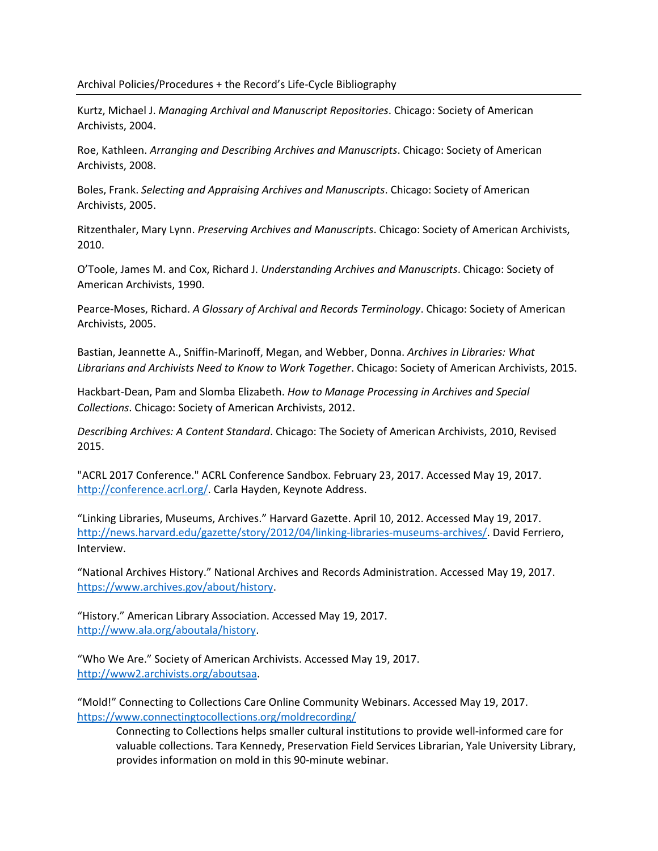### Archival Policies/Procedures + the Record's Life-Cycle Bibliography

Kurtz, Michael J. Managing Archival and Manuscript Repositories. Chicago: Society of American Archivists, 2004.

Roe, Kathleen. Arranging and Describing Archives and Manuscripts. Chicago: Society of American Archivists, 2008.

Boles, Frank. Selecting and Appraising Archives and Manuscripts. Chicago: Society of American Archivists, 2005.

Ritzenthaler, Mary Lynn. Preserving Archives and Manuscripts. Chicago: Society of American Archivists, 2010.

O'Toole, James M. and Cox, Richard J. Understanding Archives and Manuscripts. Chicago: Society of American Archivists, 1990.

Pearce-Moses, Richard. A Glossary of Archival and Records Terminology. Chicago: Society of American Archivists, 2005.

Bastian, Jeannette A., Sniffin-Marinoff, Megan, and Webber, Donna. Archives in Libraries: What Librarians and Archivists Need to Know to Work Together. Chicago: Society of American Archivists, 2015.

Hackbart-Dean, Pam and Slomba Elizabeth. How to Manage Processing in Archives and Special Collections. Chicago: Society of American Archivists, 2012.

Describing Archives: A Content Standard. Chicago: The Society of American Archivists, 2010, Revised 2015.

"ACRL 2017 Conference." ACRL Conference Sandbox. February 23, 2017. Accessed May 19, 2017. http://conference.acrl.org/. Carla Hayden, Keynote Address.

"Linking Libraries, Museums, Archives." Harvard Gazette. April 10, 2012. Accessed May 19, 2017. http://news.harvard.edu/gazette/story/2012/04/linking-libraries-museums-archives/. David Ferriero, Interview.

"National Archives History." National Archives and Records Administration. Accessed May 19, 2017. https://www.archives.gov/about/history.

"History." American Library Association. Accessed May 19, 2017. http://www.ala.org/aboutala/history.

"Who We Are." Society of American Archivists. Accessed May 19, 2017. http://www2.archivists.org/aboutsaa.

"Mold!" Connecting to Collections Care Online Community Webinars. Accessed May 19, 2017. https://www.connectingtocollections.org/moldrecording/

Connecting to Collections helps smaller cultural institutions to provide well-informed care for valuable collections. Tara Kennedy, Preservation Field Services Librarian, Yale University Library, provides information on mold in this 90-minute webinar.